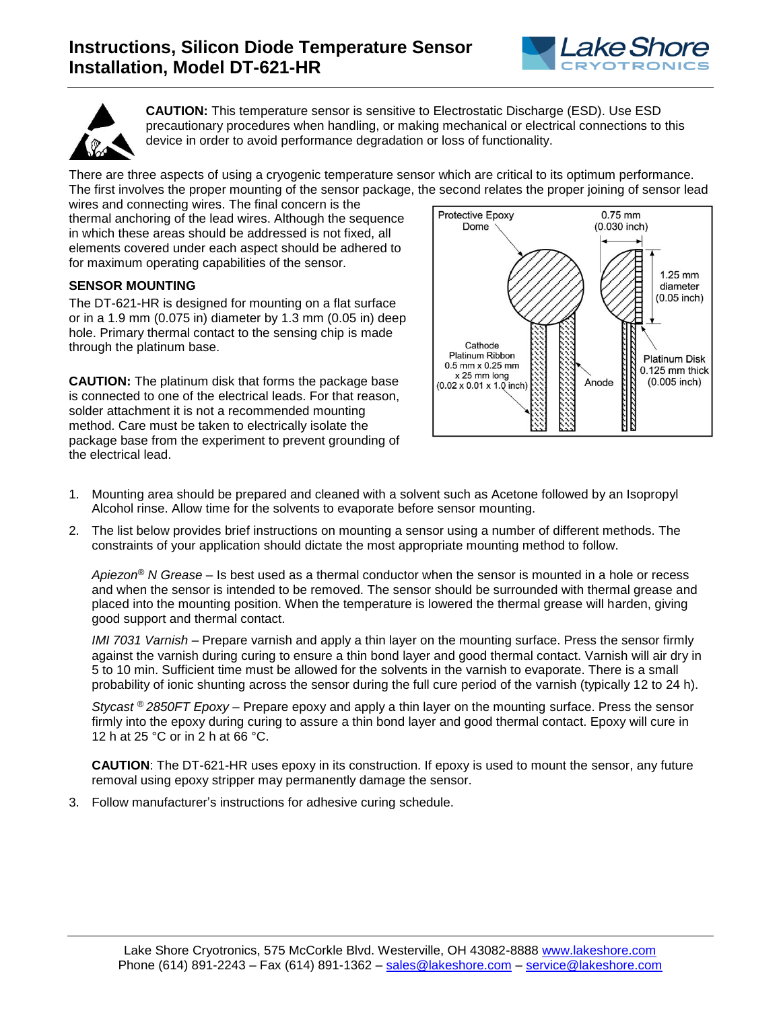



**CAUTION:** This temperature sensor is sensitive to Electrostatic Discharge (ESD). Use ESD precautionary procedures when handling, or making mechanical or electrical connections to this device in order to avoid performance degradation or loss of functionality.

There are three aspects of using a cryogenic temperature sensor which are critical to its optimum performance. The first involves the proper mounting of the sensor package, the second relates the proper joining of sensor lead

wires and connecting wires. The final concern is the thermal anchoring of the lead wires. Although the sequence in which these areas should be addressed is not fixed, all elements covered under each aspect should be adhered to for maximum operating capabilities of the sensor.

## **SENSOR MOUNTING**

The DT-621-HR is designed for mounting on a flat surface or in a 1.9 mm (0.075 in) diameter by 1.3 mm (0.05 in) deep hole. Primary thermal contact to the sensing chip is made through the platinum base.

**CAUTION:** The platinum disk that forms the package base is connected to one of the electrical leads. For that reason, solder attachment it is not a recommended mounting method. Care must be taken to electrically isolate the package base from the experiment to prevent grounding of the electrical lead.



- 1. Mounting area should be prepared and cleaned with a solvent such as Acetone followed by an Isopropyl Alcohol rinse. Allow time for the solvents to evaporate before sensor mounting.
- 2. The list below provides brief instructions on mounting a sensor using a number of different methods. The constraints of your application should dictate the most appropriate mounting method to follow.

*Apiezon® N Grease* – Is best used as a thermal conductor when the sensor is mounted in a hole or recess and when the sensor is intended to be removed. The sensor should be surrounded with thermal grease and placed into the mounting position. When the temperature is lowered the thermal grease will harden, giving good support and thermal contact.

*IMI 7031 Varnish* – Prepare varnish and apply a thin layer on the mounting surface. Press the sensor firmly against the varnish during curing to ensure a thin bond layer and good thermal contact. Varnish will air dry in 5 to 10 min. Sufficient time must be allowed for the solvents in the varnish to evaporate. There is a small probability of ionic shunting across the sensor during the full cure period of the varnish (typically 12 to 24 h).

*Stycast ® 2850FT Epoxy* – Prepare epoxy and apply a thin layer on the mounting surface. Press the sensor firmly into the epoxy during curing to assure a thin bond layer and good thermal contact. Epoxy will cure in 12 h at 25 °C or in 2 h at 66 °C.

**CAUTION**: The DT-621-HR uses epoxy in its construction. If epoxy is used to mount the sensor, any future removal using epoxy stripper may permanently damage the sensor.

3. Follow manufacturer's instructions for adhesive curing schedule.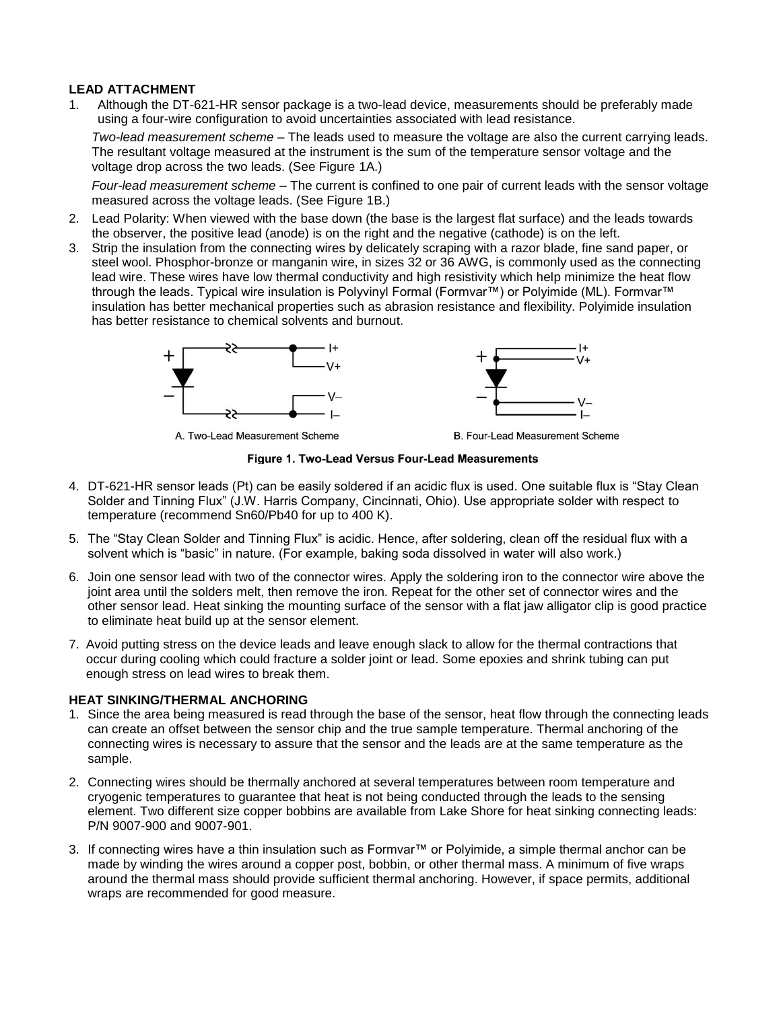## **LEAD ATTACHMENT**

1. Although the DT-621-HR sensor package is a two-lead device, measurements should be preferably made using a four-wire configuration to avoid uncertainties associated with lead resistance.

*Two-lead measurement scheme* – The leads used to measure the voltage are also the current carrying leads. The resultant voltage measured at the instrument is the sum of the temperature sensor voltage and the voltage drop across the two leads. (See Figure 1A.)

*Four-lead measurement scheme* – The current is confined to one pair of current leads with the sensor voltage measured across the voltage leads. (See Figure 1B.)

- 2. Lead Polarity: When viewed with the base down (the base is the largest flat surface) and the leads towards the observer, the positive lead (anode) is on the right and the negative (cathode) is on the left.
- 3. Strip the insulation from the connecting wires by delicately scraping with a razor blade, fine sand paper, or steel wool. Phosphor-bronze or manganin wire, in sizes 32 or 36 AWG, is commonly used as the connecting lead wire. These wires have low thermal conductivity and high resistivity which help minimize the heat flow through the leads. Typical wire insulation is Polyvinyl Formal (Formvar™) or Polyimide (ML). Formvar™ insulation has better mechanical properties such as abrasion resistance and flexibility. Polyimide insulation has better resistance to chemical solvents and burnout.





A. Two-Lead Measurement Scheme

B. Four-Lead Measurement Scheme

Figure 1. Two-Lead Versus Four-Lead Measurements

- 4. DT-621-HR sensor leads (Pt) can be easily soldered if an acidic flux is used. One suitable flux is "Stay Clean Solder and Tinning Flux" (J.W. Harris Company, Cincinnati, Ohio). Use appropriate solder with respect to temperature (recommend Sn60/Pb40 for up to 400 K).
- 5. The "Stay Clean Solder and Tinning Flux" is acidic. Hence, after soldering, clean off the residual flux with a solvent which is "basic" in nature. (For example, baking soda dissolved in water will also work.)
- 6. Join one sensor lead with two of the connector wires. Apply the soldering iron to the connector wire above the joint area until the solders melt, then remove the iron. Repeat for the other set of connector wires and the other sensor lead. Heat sinking the mounting surface of the sensor with a flat jaw alligator clip is good practice to eliminate heat build up at the sensor element.
- 7. Avoid putting stress on the device leads and leave enough slack to allow for the thermal contractions that occur during cooling which could fracture a solder joint or lead. Some epoxies and shrink tubing can put enough stress on lead wires to break them.

## **HEAT SINKING/THERMAL ANCHORING**

- 1. Since the area being measured is read through the base of the sensor, heat flow through the connecting leads can create an offset between the sensor chip and the true sample temperature. Thermal anchoring of the connecting wires is necessary to assure that the sensor and the leads are at the same temperature as the sample.
- 2. Connecting wires should be thermally anchored at several temperatures between room temperature and cryogenic temperatures to guarantee that heat is not being conducted through the leads to the sensing element. Two different size copper bobbins are available from Lake Shore for heat sinking connecting leads: P/N 9007-900 and 9007-901.
- 3. If connecting wires have a thin insulation such as Formvar™ or Polyimide, a simple thermal anchor can be made by winding the wires around a copper post, bobbin, or other thermal mass. A minimum of five wraps around the thermal mass should provide sufficient thermal anchoring. However, if space permits, additional wraps are recommended for good measure.